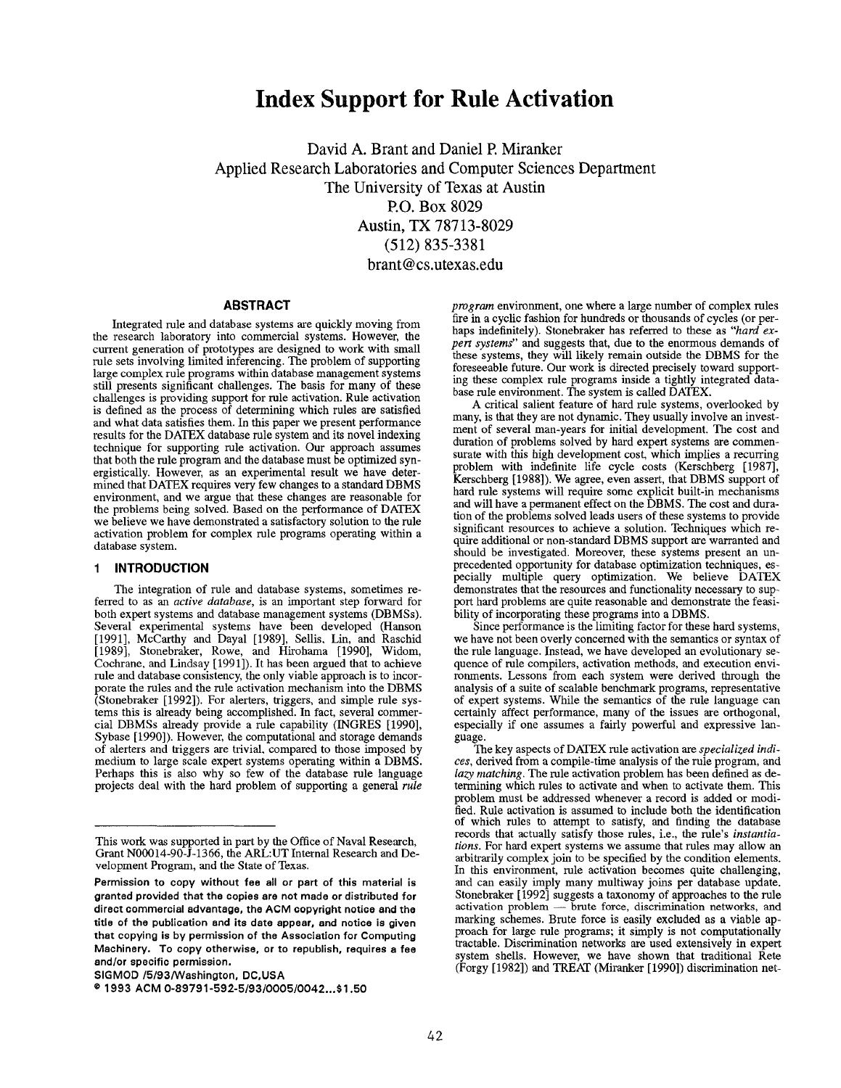# Index Support for Rule Activation

David A. Brant and Daniel P. Miranker Applied Research Laboratories and Computer Sciences Department The University of Texas at Austin P.O. BOX 8029 Austin, TX 78713-8029 (512) 835-3381 brant@cs.utexas. edu

# ABSTRACT

Integrated rule and database systems are quickly moving from the research laboratory into commercial systems. However, the current generation of prototypes are designed to work with small rule sets involving limited inferencing. The problem of supporting large complex rule programs within database management systems still presents significant challenges. The basis for many of these challenges is providing support for rule activation. Rule activation is defined as the process of determining which rules are satisfied and what data satisfies them. In this paper we present performance results for the DATEX database rule system and its novel indexing technique for supporting rule activation. Our approach assumes that both the rule program and the database must be optimized synergistically. However, as an experimental result we have determined that DATEX requires very few changes to a standard DBM environment, and we argue that these changes are reasonable for the problems being solved. Based on the performance of DATEX we believe we have demonstrated a satisfactory solution to the rule activation problem for complex rule programs operating within a database system.

# 1 INTRODUCTION

The integration of rule and database systems, sometimes referred to as an active database, is an important step forward for both expert systems and database management systems (DBMSS). Several experimental systems have been developed (Hanson [1991], McCarthy and Dayal [1989], Sellis, Lin, and Raschid [1989], Stonebraker, Rowe, and Hirohama [1990], Widor Cochrane, and Lindsay [1991]). It has been argued that to achieve rule and database consistency, the only viable approach is to incorporate the rules and the rule activation mechanism into the DBMS (Stonebraker [1992]). For alerters, triggers, and simple rule systems this is already being accomplished. In fact, several commercial DBMSS already provide a rule capability (INGRES [1990], Sybase [1990]). However, the computational and storage demands of alerters and triggers are trivial. compared to those imposed by medium to large scale expert systems operating within a DBMS. Perhaps this is also why so few of the database rule language projects deal with the hard problem of supporting a general rule

program environment, one where a large number of complex rules fire in a cyclic fashion for hundreds or thousands of cycles (or perhaps indefinitely). Stonebraker has referred to these as "hard expert systems" and suggests that, due to the enormous demands of these systems, they will likely remain outside the DBMS for the foreseeable future. Our work is directed precisely toward supporting these complex rule programs inside a tightly integrated database rule environment. The system is called DATI

A critical salient feature of hard rule systems, overlooked by many, is that they are not dynamic. They usually involve an investment of several man-years for initial development. The cost and duration of problems solved by hard expert systems are commensurate with this high development cost, which implies a recurring problem with indefinite life cycle costs (Kerschberg [1987], Kerschberg [1988]). We agree, even assert, that DBMS support of hard rule systems will require some explicit built-in mechanisms and will have a permanent effect on the DBMS. The cost and duration of the problems solved leads users of these systems to provide significant resources to achieve a solution. Techniques which require additional or non-standard DBMS support are warranted and should be investigated. Moreover, these systems present an unprecedented opportunity for database optimization techniques, especially multiple query optimization. We believe DATEX demonstrates that the resources and functionality necessary to support hard problems are quite reasonable and demonstrate the feasibility of incorporating these programs into a DBMS,

Since performance is the limiting factor for these hard systems, we have not been overly concerned with the semantics or syntax of the rule language. Instead, we have developed an evolutionary sequence of rule compilers, activation methods, and execution environments. Lessons from each system were derived through the analysis of a suite of scalable benchmark programs, representative of expert systems. While the semantics of the rule language can certainly affect performance, many of the issues are orthogonal, especially if one assumes a fairly powerful and expressive language.

The key aspects of DATEX rule activation are specialized indices, derived from a compile-time analysis of the rule program, and lazy matching. The rule activation problem has been defined as determining which rules to activate and when to activate them. This problem must be addressed whenever a record is added or modified. Rule activation is assumed to include both the identification of which rules to attempt to satisfy, and tinding the database records that actually satisfy those rules, i.e., the rule's instantiations. For hard expert systems we assume that rules may allow an arbitrarily complex join to be specified by the condition elements. In this environment, rule activation becomes quite challenging, and can easily imply many multiway joins per database update. Stonebraker [1992] suggests a taxonomy of approaches to the rul activation problem — brute force, discrimination networks, and marking schemes. Brute force is easily excluded as a viable approach for large rule programs; it simply is not computationally tractable. Discrimination networks are used extensively in expert system shells, However, we have shown that traditional Rete (Forgy [1982]) and TREAT (Miranker [1990]) discrimination net-

This work was supported in part by the Office of Naval Research, Grant NOO014-90-J-1366, dre ARL:UT Internal Research and Development Program, and the State of Texas.

Permission to copy without fee all or part of this material is granted provided that the copies are not made or distributed for direct commercial advantage, the ACM copyright notice and the title of the publication and its date appaar, and notice is given that copying is by permission of the Association for Computing Machinery. To copy otherwise, or to republish, raquires a fae and/or specific permission.

SIGMOD /5/93/Washington, DC, USA

<sup>&</sup>lt;sup>©</sup> 1993 ACM 0-89791-592-5/93/0005/0042... \$1.50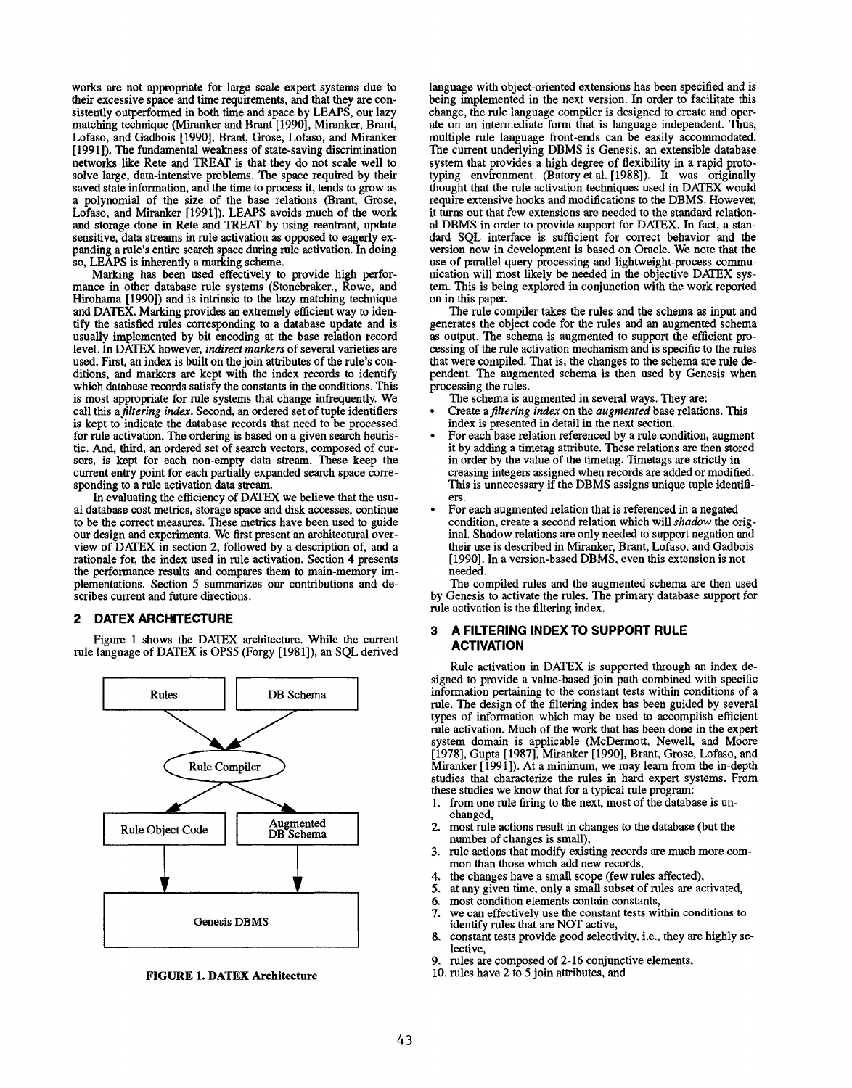works are not appropriate for large scale expert systems due to their excessive space and time requirements, and that they are consistently outperformed in both time and space by LEAPS, our lazy matching technique (Miranker and Brant [1990], Miranker, Brant, Lofaso, and Gadbois [1990], Brant, Grose, Lofaso, and Miranker [1991]). The fundamental weakness of state-saving discrimination networks like Rete and TREAT is that they do not scale well to solve large, data-intensive problems. The space required by their saved state information, and the time to process it, tends to grow as a polynomial of the size of the base relations (Brant Grose, Lofaso, and Miranker [1991]). LEAPS avoids much of the work and storage done in Rete and TREAT by using reentrant, update sensitive, data streams in rule activation as opposed to eagerly expanding a rule's entire search space during rule activation. In doing so, LEAPS is inherently a marking scheme.

Marking has been used effectively to provide high perfor mance in other database rule systems (Stonebraker., Rowe, and Hirohama [1990]) and is intrinsic to the lazy matching technique and DATEX. Marking provides an extremely efficient way to identify the satisfied rules corresponding to a database update and is usually implemented by bit encoding at the base relation record level. In DATEX however, indirect markers of several varieties are used. First, an index is built on the join attributes of the rule's conditions, and markers are kept with the index records to identify which database records satisfy the constants in the conditions. This is most appropriate for rule systems that change infrequently. We call this afiltering indez. Second, an ordered set of tuple identifiers is kept to indicate the database records that need to be processed for rule activation. The ordering is based on a given search heuristic. And, third, an ordered set of search vectors, composed of cursors, is kept for each non-empty data stream. These keep the current entry point for each partially expanded search space corresponding to a rule activation data stream.

In evaluating the efficiency of DATEX we believe that the usual database cost metrics, storage space and disk accesses, continue to be the correct measures. These metrics have been used to guide our design and experiments. We first present an architectural overview of DATEX in section 2, followed by a description of, and a rationale for, the index used in rule activation. Section 4 presents the performance results and compares them to main-memory implementations. Section 5 summarizes our contributions and describes current and future directions.

# 2 DATEX ARCHITECTURE

Figure 1 shows the DATEX architecture. While the current rule language of DATEX is 0PS5 (Forgy [1981]), an SQL derived





language with object-otiented extensions has been specified and is being implemented in the next version. In order to facilitate this change, the role language compiler is designed to create and operate on an intermediate form that is language independent. Thus, multiple rule language front-ends can be easily accommodated. The current underlying DBMS is Genesis, an extensible database system that provides a high degree of flexibility in a rapid prototyping environment (Batory et al. [1988]). It was originally thought that the rule activation techniques used in DATEX would require extensive hooks and modifications to the DBMS. However, it turns out that few extensions are needed to the standard relational DBMS in order to provide support for DATEX. In fact, a standard SQL interface is sufficient for correct behavior and the version now in development is based on Oracle. We note that the use of parallel query processing and lightweight-process cmnmunication will most likely be needed in the objective DATEX system. This is being explored in conjunction with the work reported on in this paper.

The rule compiler takes the rules and the schema as input and generates the object code for the rules and an augmented schema as output. The schema is augmented to support the efficient processing of the rule activation mechanism and is specific to the rules that were compiled. That is, the changes to the schema are rule dependent. The augmented schema is then used by Genesis when processing the rules.

The schema is augmented in several ways. They are:

- . Create a filtering index on the *augmented* base relations. This index is presented in detail in the next section.
- . For each base relation referenced by a rule condition, augment it by adding a timetag attribute. These relations are then stored in order by the value of the timetag. Timetags are strictly increasing integers assigned when records are added or modified. This is unnecessary if the DBMS assigns unique tuple identi6 ers.
- , For each augmented relation that is referenced in a negated condition, create a second relation which will shadow the original. Shadow relations are only needed to support negation and their use is described in Miranker, Brant, Lofaso, and Gadbois [1990]. In a version-based DBMS, even this extension is not needed.

The compiled rules and the augmented schema are then used by Genesis to activate the rules. The primary database support for rule activation is the filtering index.

# 3 A FILTERING INDEX TO SUPPORT RULE **ACTIVATION**

Rule activation in DATEX is supported through an index designed to provide a value-based join path combined with specific information pertaining to the constant tests within conditions of a rule. The design of the filtering index has been guided by several types of information which may be used to accomplish efficient rule activation. Much of the work that has been done in the expert system domain is applicable (McDermott, Newell, and Moor [1978], Gupta [1987], Miranker [1990], Brant, Grose, Lofaso, and Miranker [1991]). At a minimum, we may learn from the in-depth studies that characterize the rules in hard expert systems. From these studies we know that for a typical rule program

- 1. from one rule firing to the next, most of the database is unchanged,
- 2. most rule actions result in changes to the database (but the number of changes is small),
- 3. rule actions that modify existing records are much more common than those which add new records,
- 4. the changes have a small scope (few rules affected),
- 5. at any given time, only a small subset of rides are activated,
- 6. most condition elements contain constants,
- 7. we can effectively use the constant tests within conditions to identify rules that are NOT active,
- 8. constant tests provide good selectivity, i.e., they are highly selective,
- 9. rules are composed of 2-16 conjunctive elements,
- 10. rules have 2 to 5 join attributes, and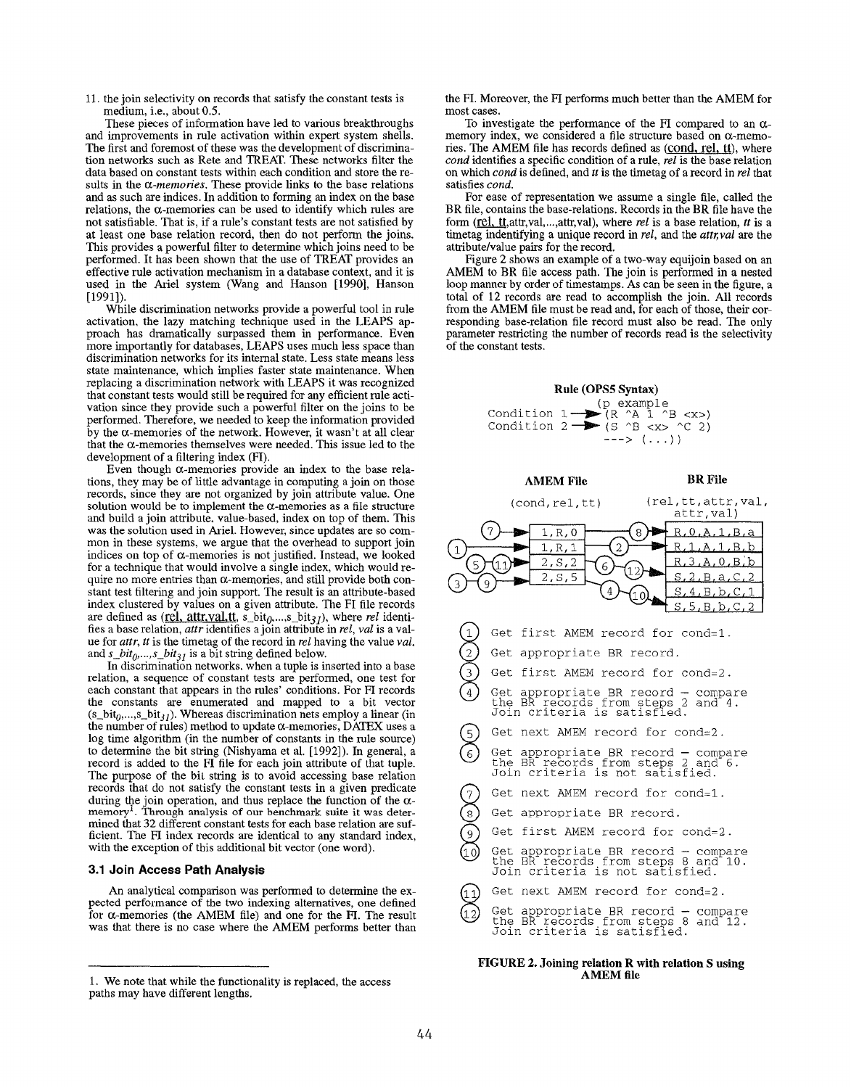11. the join selectivity on records that satisfy the constant tests is medium, i.e., about 0.5.

These pieces of information have led to various breakthroughs and improvements in rule activation within expert system shells. The first and foremost of these was the development of discrimination networks such as Rete and TREAT. These networks filter the data based on constant tests within each condition and store the results in the  $\alpha$ -memories. These provide links to the base relations and as such are indices. In addition to forming an index on the base relations, the  $\alpha$ -memories can be used to identify which rules are not satisfiable. That is, if a rule's constant tests are not satisfied by at least one base relation record, then do not perform the joins. This provides a powerful filter to determine which joins need to be performed. It has been shown that the use of TREAT provides an effective rule activation mechanism in a database context, and it is used in the Ariel system (Wang and Hanson [1990], Hanson [1991]).

While discrimination networks provide a powerful tool in rule activation, the lazy matching technique used in the LEAPS approach has dramatically surpassed them in performance. Even more importantly for databases, LEAPS uses much less space than discrimination networks for its internal state. Less state means less state maintenance, which implies faster state maintenance. When replacing a discrimination network with LEAPS it was recognized that constant tests would still be required for any efficient rule activation since they provide such a powerful filter on the joins to be performed. Therefore, we needed to keep the information provided by the  $\alpha$ -memories of the network. However, it wasn't at all clear that the  $\alpha$ -memories themselves were needed. This issue led to the development of a filtering index (FI).

Even though  $\alpha$ -memories provide an index to the base relations, they may be of little advantage in computing a join on those records, since they are not organized by join attribute value. One solution would be to implement the  $\alpha$ -memories as a file structure and build a join attribute, value-based, index on top of them. This was the solution used in Ariel. However, since updates are so common in these systems, we argue that the overhead to support join indices on top of  $\alpha$ -memories is not justified. Instead, we looked for a technique that would involve a single index, which would require no more entries than  $\alpha$ -memories, and still provide both constant test filtering and join support. The result is an attribute-based index clustered by values on a given attribute. The FI file records are defined as (rel, attr,val.tt, s\_bit<sub>O</sub>, ...,s\_bit<sub>31</sub>), where rel identifies a base relation, attr identifies ajoin attribute in rel, val is a value for attr, tt is the timetag of the record in rel having the value val, and  $s_bit_0, ..., s_bit_{31}$  is a bit string defined below.

In discrimination networks, when a tuple is inserted into a base relation, a sequence of constant tests are performed, one test for each constant that appears in the rules' conditions. For FI records the constants are enumerated and mapped to a bit vecto (s\_bit<sub>0</sub>,...,s\_bit<sub>31</sub>). Whereas discrimination nets employ a linear (in the number of rules) method to update  $\alpha$ -memories, DATEX uses a log time algorithm (in the number of constants in the rule source) to determine the bit string (Nishyama et al. [1992]). In general, a record is added to the FI file for each join attribute of that tuple. The purpose of the bil string is to avoid accessing base relation records that do not satisfy the constant tests in a given predicate during the join operation, and thus replace the function of the  $\alpha$ -<br>memory<sup>1</sup>. Through analysis of our benchmark suite it was determined that 32 different constant tests for each base relation are sufficient. The Ff index records are identical to any standard index, with the exception of this additional bit vector (one word).

#### 3.1 Join Access Path Analysis

An analytical comparison was performed to determine the expected performance of the two indexing alternatives, one defined for  $\alpha$ -memories (the AMEM file) and one for the FI. The result was that there is no case where the AMEM performs better than the FI. Moreover, the El performs much better than the AMEM for most cases.

To investigate the performance of the FI compared to an  $\alpha$ memory index, we considered a file structure based on  $\alpha$ -memories. The AMEM file has records defined as (cond, rel, tt), where  $cond$  identifies a specific condition of a rule,  $rel$  is the base relation on which *cond* is defined, and  $t$  is the timetag of a record in rel that satisfies cond.

For ease of representation we assume a single file, called the BR file, contains the base-relations. Records in the BR file have the form (rel, tt. attr, val, ..., attr, val), where rel is a base relation,  $tt$  is a timetag indentifying a unique record in *rel*, and the *attr*, *val* are the attribute/value pairs for the record.

Figure 2 shows an example of a two-way equijoin based on an AMEM to BR Ele access path. The join is performed in a nested loop manner by order of timestamps. As can be seen in the figure, a total of 12 records are read to accomplish the join. All records from the AMEM file must be read and, for each of those, their corresponding base-relation file record must also be read. The only parameter restricting the number of records read is the selectivity of the constant tests.

# Rule (OPS5 Syntax)





44

<sup>1.</sup> We note that while the functionality is replaced, the access paths may have different lengths.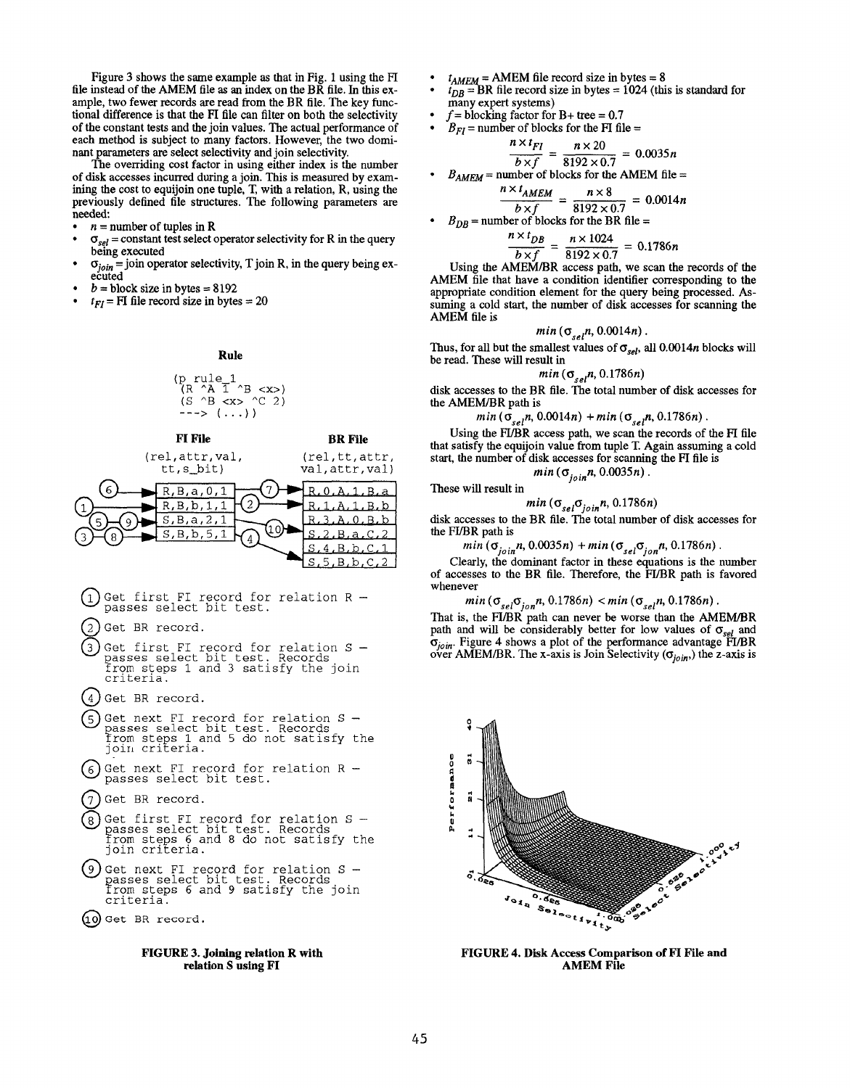Figure 3 shows the same example as that in Fig. 1 using the FI file instead of the AMEM file as an index on the BR file. In this example, two fewer records are read from the BR file. The key functional difference is that the FI file can filter on both the selectivity of the constant tests and the join values. The actual performance of each method is subject to many factors. However, the two dominant parameters are select selectivity and join selectivity.

The overriding cost factor in using either index is the number of disk accesses incurred during a join. This is measured by examining the cost to equijoin one tuple, T, with a relation, R, using the previously defined file structures. The following parametem are needed

- $n =$  number of tuples in R
- ✎  $\sigma_{gel}$  = constant test select operator selectivity for R in the query being executed
- $\sigma_{ioin}$  = join operator selectivity, T join R, in the query being executed
- $b =$  block size in bytes = 8192
- $t_{FI}$  = FI file record size in bytes = 20

# Rule

$$
\begin{array}{c}\n\text{(p rule_1)}\\
\text{(R ^ A 1 ^ B )}\\
\text{(S ^ B  ^C 2)}\\
\text{---> } (\ldots)\n\end{array}
$$



- 1 Get first FI record for relation R -<br>passes select bit test.
- Get BR record.
- o<sup>3</sup> Get first FI record for relation <sup>S</sup> passes select bit test: Records from steps 1 and 3 satisfy the join criteria.
- 
- (4) Get BR record.<br>
5) Get next FI record for relation S -<br>
passes select bit test. Records<br>
from steps 1 and 5 do not satisfy the
- G Get next FI record for relation R -<br>passes select bit test.
- Get BR record.
- **0**8 Get first FI record for relation S –<br>passes select bit test. Records<br>from steps 6 and 8 do not satisfy th join criteria.
- Get next FI record for relation S -<br>passes select bit test. Records<br>from steps 6 and 9 satisfy the join criteria.
- 10 Get BR record.

#### FIGURE 3. Joining relation R with relation S using FI

- $t_{AMEM}$  = AMEM file record size in bytes = 8
- ✎  $t_{DB}$  = BR file record size in bytes = 1024 (this is standard for many expert systems)
- $f = 5$ locking factor for B+ tree = 0.7
- $B_{FI}$  = number of blocks for the FI file =

$$
\frac{n \times t_{FI}}{b \times f} = \frac{n \times 20}{8192 \times 0.7} = 0.0035n
$$

✎  $B_{AMFM}$  = number of blocks for the AMEM file =

$$
\frac{n \times t_{AMEM}}{b \times f} = \frac{n \times 8}{8192 \times 0.7} = 0.0014n
$$

$$
B_{DB}
$$
 = number of blocks for the BR file =

$$
\frac{n \times t_{DB}}{b \times f} = \frac{n \times 1024}{8192 \times 0.7} = 0.1786n
$$

Using the AMEM/BR access path, we scan the records of the AMEM file that have a condition identifier corresponding to the appropriate condition element for the query being processed. Assuming a cold start, the number of disk accesses for scanning the AMEM file is

$$
min(σ0, n, 0.0014n)
$$
.

Thus, for all but the smallest values of  $\sigma_{sel}$ , all 0.0014n blocks will be read. 'Ihese will result in

$$
min(\sigma_{eq}, n, 0.1786n)
$$

disk accesses to the BR file. The total number of disk accesses for the AMEM/BR path is

 $min(\sigma_{self}, 0.0014n) + min(\sigma_{self}, 0.1786n)$ .

Using the FI/BR access path, we scan the records of the FI file that satisfy the equijoin value from tuple T. Again assuming a cold start, the number of disk accesses for scanning the FI file is  $min(\sigma_{join}n, 0.0035n)$ .

These will result in

✎

$$
min(\sigma_{\text{sel}}\sigma_{\text{ion}}n, 0.1786n)
$$

disk accesses to the BR file. The total number of disk accesses for the FUBR path is

 $min(\sigma_{join} n, 0.0035n) + min(\sigma_{sel}\sigma_{jon} n, 0.1786n).$ 

Clearly, the dominant factor in these equations is the number of accesses to the BR tile. Therefore, the FUBR path is favored whenever

$$
min\left(\sigma_{\text{sel}}\sigma_{\text{ion}}n, 0.1786n\right) < min\left(\sigma_{\text{sel}}n, 0.1786n\right).
$$

That is, the FI/BR path can never be worse than the AMEM/ path and will be considerably better for low values of  $\sigma_{\rm sol}$  and  $\sigma_{i_{\text{o}}i_{\text{n}}}$ . Figure 4 shows a plot of the performance advantage FI/BR over AMEM/BR. The x-axis is Join Selectivity ( $\sigma_{ioin}$ ) the z-axis is



FIGURE 4. Disk Access Comparison of FI File and AMEM File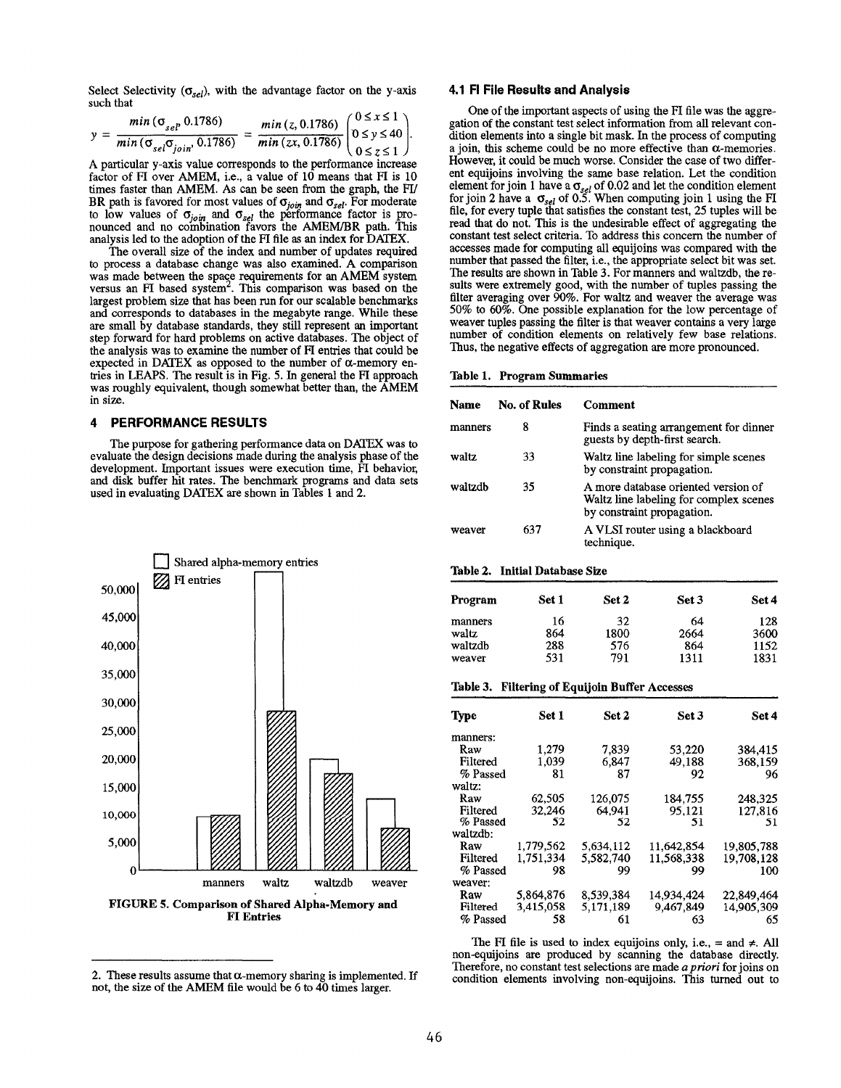Select Selectivity ( $\sigma_{sel}$ ), with the advantage factor on the y-axis such that

|  | $\frac{\min(\sigma_{se}^{0.1786})}{\min(\sigma_{se}^{0.01786})} = \frac{\min(z, 0.1786)}{\min(zx, 0.1786)} \begin{pmatrix} 0 \leq x \leq 1 \\ 0 \leq y \leq 40 \\ 0 \leq z \leq 1 \end{pmatrix}.$ |  |  |
|--|---------------------------------------------------------------------------------------------------------------------------------------------------------------------------------------------------|--|--|
|  |                                                                                                                                                                                                   |  |  |
|  | A particular y-axis value corresponds to the performance increase                                                                                                                                 |  |  |

factor of FI over AMEM, i.e., a value of 10 means that FI is 10 times faster than AMEM. As can be seen from the graph, the FI/ BR path is favored for most values of  $\sigma_{ioir}$  and  $\sigma_{sel}$ . For moderat to low values of  $\sigma_{ion}$  and  $\sigma_{sel}$  the performance factor is pronounced and no combination favors the AMEM/BR path. This analysis led to the adoption of the FI file as an index for DATEX.

The overall size of the index and number of updates required to process a database change was also examined. A comparison was made between the space requirements for an AMEM system versus an FI based system<sup>2</sup>. This comparison was based on the largest problem size that has been run for our scalable benchmarks and corresponds to databases in the megabyte range. While these are small by database standards, they still represent an important step forward for hard problems on active databases. The object of the analysis was to examine the number of FI entries that could be expected in DATEX as opposed to the number of  $\alpha$ -memory entries in LEAPS. The result is in Fig. 5. In general the FI approach was roughly equivalent, though somewhat better than, the AMEM in size.

# 4 PERFORMANCE RESULTS

The purpose for gathering performance data on DATEX was to evaluate the design decisions made during the analysis phase of the development. Important issues were execution time, FI behavior, and disk buffer hit rates. The benchmark programs and data sets used in evaluating DATEX are shown in Tables 1 and 2.



<sup>2.</sup> These results assume that  $\alpha$ -memory sharing is implemented. If not, the size of the AMEM file would be 6 to  $40$  times larger.

#### 4.1 FI File Results and Analysis

One of the important aspects of using the FI file was the aggregation of the constant test select information from all relevant condition elements into a single bit mask. In the process of computing a join, this scheme could be no more effective than  $\alpha$ -memories. However, it could be much worse. Consider the case of two different equijoins involving the same base relation. Let the condition element for join 1 have a  $\sigma_{sol}$  of 0.02 and let the condition elemer for join 2 have a  $\sigma_{sel}$  of 0.5. When computing join 1 using the F. file, for every tuple that satisfies the constant test, 25 tuples will be read that do not. This is the undesirable effect of aggregating the constant test select criteria. To address this concern the number of accesses made for computing all equijoins was compared with the number that passed the filter, i.e., the appropriate select bit was set. The results are shown in Table 3. For manners and waltzdb, the results were extremely good, with the number of tuples passing the filter averaging over 90%. For waltz and weaver the average was 50?4 to 60%. One possible explanation for the low percentage of weaver tuples passing the filter is that weaver contains a very large number of condition elements on relatively few base relations. Thus, the negative effects of aggregation are more pronounced.

|  |  | Table 1. Program Summaries |
|--|--|----------------------------|
|--|--|----------------------------|

| Name    | No. of Rules | Comment                                                                                                     |
|---------|--------------|-------------------------------------------------------------------------------------------------------------|
| manners | 8            | Finds a seating arrangement for dinner<br>guests by depth-first search.                                     |
| waltz   | 33           | Waltz line labeling for simple scenes<br>by constraint propagation.                                         |
| waltzdb | 35           | A more database oriented version of<br>Waltz line labeling for complex scenes<br>by constraint propagation. |
| weaver  | 637          | A VLSI router using a blackboard<br>technique.                                                              |

# Table 2, Initial Database Size

| Program | Set 1 | Set 2 | Set 3 | Set 4 |
|---------|-------|-------|-------|-------|
| manners | 16    | 32    | 64    | 128   |
| waltz   | 864   | 1800  | 2664  | 3600  |
| waltzdb | 288   | 576   | 864   | 1152  |
| weaver  | 531   | 791   | 1311  | 1831  |

# Table 3. Filtering of Equijoin Buffer Accesses

| Type     | Set 1     | <b>Set 2</b> | Set 3      | Set 4      |
|----------|-----------|--------------|------------|------------|
| manners: |           |              |            |            |
| Raw      | 1,279     | 7,839        | 53.220     | 384,415    |
| Filtered | 1.039     | 6.847        | 49,188     | 368.159    |
| % Passed | 81        | 87           | 92         | 96         |
| waltz:   |           |              |            |            |
| Raw      | 62.505    | 126.075      | 184,755    | 248,325    |
| Filtered | 32.246    | 64.941       | 95.121     | 127,816    |
| % Passed | 52        | 52           | 51         | 51         |
| waltzdb: |           |              |            |            |
| Raw      | 1,779,562 | 5.634.112    | 11.642.854 | 19.805.788 |
| Filtered | 1.751.334 | 5.582.740    | 11.568.338 | 19.708.128 |
| % Passed | 98        | 99           | 99         | 100        |
| weaver:  |           |              |            |            |
| Raw      | 5,864,876 | 8.539.384    | 14.934.424 | 22,849,464 |
| Filtered | 3,415,058 | 5.171.189    | 9.467,849  | 14,905,309 |
| % Passed | 58        | 61           | 63         | 65         |

The FI file is used to index equijoins only, i.e.,  $=$  and  $\neq$ . All non-eqnijoins are produced by scanning the database directly. Therefore, no constant test selections are made a priori for joins on condition elements involving non-equijoins. This turned out to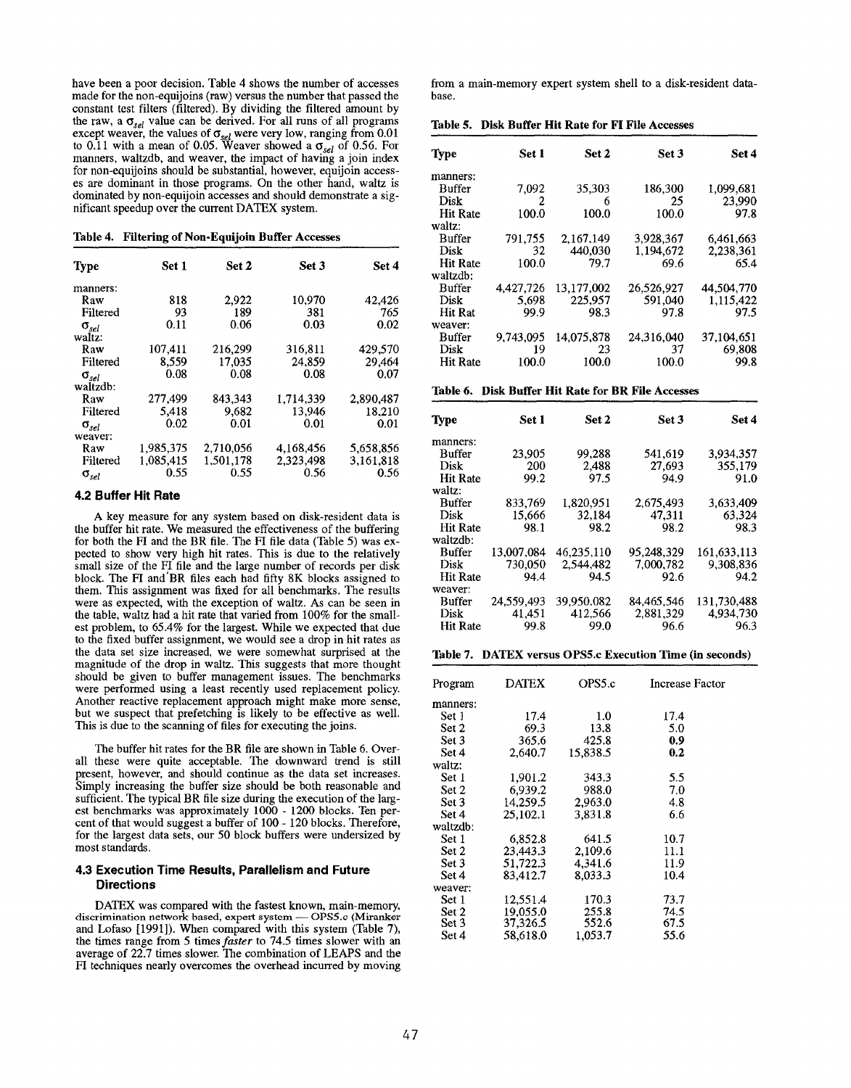have been a poor decision. Table 4 shows the number of accesses made for the non-equijoins (raw) versus the number that passed the constant test filters (filtered). By dividing the filtered amount by the raw, a  $\sigma_{sel}$  value can be derived. For all runs of all programs except weaver, the values of  $\sigma_{sel}$  were very low, ranging from 0.01 to 0.11 with a mean of 0.05. Weaver showed a  $\sigma_{\text{sel}}$  of 0.56. For manners, waltzdb, and weaver, the impact of having a join index for non-equijoins should be substantial, however, equijoin accesses are dominant in those programs. On the other hand, waltz is dominated by non-equijoin accesses and should demonstrate a significant speedup over the current DATEX system.

Table 4. Filtering of Non-Equijoin Buffer Accesses

|           |           |           |           | Disk                   | 32                                        | 440.030                |                          | 2,238,36                                                                                      |
|-----------|-----------|-----------|-----------|------------------------|-------------------------------------------|------------------------|--------------------------|-----------------------------------------------------------------------------------------------|
|           |           |           |           | <b>Hit Rate</b>        | 100.0                                     | 79.7                   | 69.6                     | 65.4                                                                                          |
|           |           |           |           | waltzdb:               |                                           |                        |                          |                                                                                               |
|           |           |           |           | Buffer                 | 4.427.726                                 | 13,177,002             | 26,526,927               | 44,504,770                                                                                    |
| 818       | 2,922     | 10.970    | 42.426    | Disk                   | 5.698                                     | 225,957                | 591,040                  | 1,115,422                                                                                     |
| 93        | 189       | 381       | 765       | Hit Rat                | 99.9                                      | 98.3                   | 97.8                     | 97.3                                                                                          |
| 0.11      | 0.06      | 0.03      | 0.02      | weaver:                |                                           |                        |                          |                                                                                               |
|           |           |           |           | <b>Buffer</b>          | 9,743,095                                 | 14,075,878             | 24,316,040               | 37,104,651                                                                                    |
| 107.411   | 216.299   | 316,811   | 429.570   | Disk                   | 19                                        | 23                     | 37                       | 69,808                                                                                        |
| 8.559     | 17.035    | 24,859    | 29.464    | <b>Hit Rate</b>        | 100.0                                     | 100.0                  | 100.0                    | 99.8                                                                                          |
| 0.08      | 0.08      | 0.08      | 0.07      |                        |                                           |                        |                          |                                                                                               |
|           |           |           |           |                        |                                           |                        |                          |                                                                                               |
| 277,499   | 843.343   | 1.714.339 | 2,890,487 |                        |                                           |                        |                          |                                                                                               |
| 5,418     | 9.682     | 13,946    | 18.210    |                        |                                           |                        |                          |                                                                                               |
| 0.02      | 0.01      | 0.01      | 0.01      |                        |                                           |                        |                          | Set                                                                                           |
|           |           |           |           |                        |                                           |                        |                          |                                                                                               |
| 1.985.375 | 2.710.056 | 4,168,456 | 5.658,856 |                        |                                           |                        |                          | 3.934.35                                                                                      |
| 1.085,415 | 1,501,178 | 2.323.498 | 3,161,818 |                        |                                           |                        |                          | 355,179                                                                                       |
| 0.55      | 0.55      | 0.56      | 0.56      | $\overline{H}$ it Rote | 00.2                                      | 075                    | 0 <sub>A</sub>           | Q1                                                                                            |
|           | Set 1     | Set 2     | Set 3     | Set 4                  | <b>Type</b><br>manners:<br>Buffer<br>Disk | Set 1<br>23.905<br>200 | Set 2<br>99.288<br>2,488 | 1,194,672<br>Table 6. Disk Buffer Hit Rate for BR File Accesses<br>Set 3<br>541,619<br>27,693 |

# 4.2 Buffer Hit Rate

A key measure for any system based on disk-resident data is the buffer hit rate. We measured the effectiveness of the buffering for both the FI and the BR file. The FI file data (Table 5) was expected to show very high hit rates. This is due to the relatively small size of the FI file and the large number of records per disk block. The FI and BR files each had fifty 8K blocks assigned to them. This assignment was fixed for all benchmarks. The results were as expected, with the exception of waltz. As can be seen in the table, waltz had a hit rate that vaned from 100% for the smallest problem, to 65.4% for the largest. While we expected that due to the fixed buffer assignment, we would see a drop in hit rates as the data set size increased, we were somewhat surprised at the magnitude of the drop in waltz. This suggests that more thought should be given to buffer management issues. The benchmarks were performed using a least recently used replacement policy. Another reactive replacement approach might make more sense, but we suspect that prefetching is likely to be effective as well. This is due to the scanning of files for executing the joins.

The buffer hit rates for the BR file are shown in Table 6. Overall these were quite acceptable. The downward trend is still present, however, and should continue as the data set increases. Simply increasing the buffer size should be both reasonable and sufficient. The typical BR file size during the execution of the largest benchmarks was approximately 1000 - 1200 blocks. Ten percent of that would suggest a buffer of 100-120 blocks. Therefore, for the largest data sets, our 50 block buffers were undersized by most standards.

# 4.3 Execution Time Results, Parallelism and Future **Directions**

DATEX was compared with the fastest known, main-memory, discrimination network based, expert system - OPS5.c (Miranker and Lofaso [1991]). When compared with this system (Table 7), the times range from 5 times *faster* to 74.5 times slower with an average of 22.7 times slower. The combination of LEAPS and the FI techniques nearly overcomes the overhead incurred by moving

from a main-memory expert system shell to a disk-resident database.

Table 5. Disk Buffer Hit Rate for FI File Accesses

|                |              |                                               | $\omega$ , we have the value of $\sigma_{\text{self}}$ were very follow, ranging from 0.01<br>0.11 with a mean of 0.05. Weaver showed a $\sigma_{\text{sel}}$ of 0.56. For<br>anners, waltzdb, and weaver, the impact of having a join index<br>r non-equijoins should be substantial, however, equijoin access- |         | <b>Type</b><br>manners: | Set 1     | Set 2      | Set 3      | Set 4      |
|----------------|--------------|-----------------------------------------------|------------------------------------------------------------------------------------------------------------------------------------------------------------------------------------------------------------------------------------------------------------------------------------------------------------------|---------|-------------------------|-----------|------------|------------|------------|
|                |              |                                               | are dominant in those programs. On the other hand, waltz is                                                                                                                                                                                                                                                      |         | <b>Buffer</b>           | 7,092     | 35,303     | 186,300    | 1,099,681  |
|                |              |                                               | minated by non-equijoin accesses and should demonstrate a sig-                                                                                                                                                                                                                                                   |         | Disk                    |           | 6          | 25         | 23,990     |
|                |              | ficant speedup over the current DATEX system. |                                                                                                                                                                                                                                                                                                                  |         | Hit Rate                | 100.0     | 100.0      | 100.0      | 97.8       |
|                |              |                                               |                                                                                                                                                                                                                                                                                                                  |         | waltz:                  |           |            |            |            |
|                |              |                                               | able 4. Filtering of Non-Equijoin Buffer Accesses                                                                                                                                                                                                                                                                |         | <b>Buffer</b>           | 791,755   | 2.167.149  | 3,928,367  | 6,461,663  |
|                |              |                                               |                                                                                                                                                                                                                                                                                                                  |         | Disk                    | 32        | 440,030    | 1,194,672  | 2,238,361  |
| ype            | Set 1        | Set 2                                         | Set 3                                                                                                                                                                                                                                                                                                            | Set 4   | <b>Hit Rate</b>         | 100.0     | 79.7       | 69.6       | 65.4       |
|                |              |                                               |                                                                                                                                                                                                                                                                                                                  |         | waltzdb:                |           |            |            |            |
| anners:        |              |                                               |                                                                                                                                                                                                                                                                                                                  |         | <b>Buffer</b>           | 4.427.726 | 13.177,002 | 26,526,927 | 44,504,770 |
| Raw            | 818          | 2,922                                         | 10.970                                                                                                                                                                                                                                                                                                           | 42.426  | Disk                    | 5.698     | 225,957    | 591,040    | 1,115,422  |
| Filtered       | 93           | 189                                           | 381                                                                                                                                                                                                                                                                                                              | 765     | Hit Rat                 | 99.9      | 98.3       | 97.8       | 97.5       |
| $\sigma_{sel}$ | 0.11         | 0.06                                          | 0.03                                                                                                                                                                                                                                                                                                             | 0.02    | weaver:                 |           |            |            |            |
| al̃tz:         |              |                                               |                                                                                                                                                                                                                                                                                                                  |         | <b>Buffer</b>           | 9.743.095 | 14,075,878 | 24.316,040 | 37,104,651 |
| Raw            | 107,411      | 216,299                                       | 316,811                                                                                                                                                                                                                                                                                                          | 429,570 | Disk                    | 19        | 23         | 37         | 69,808     |
| Filtered       | 8,559        | 17,035                                        | 24,859                                                                                                                                                                                                                                                                                                           | 29,464  | <b>Hit Rate</b>         | 100.0     | 100.0      | 100.0      | 99.8       |
|                | <u>ົດ ດດ</u> |                                               |                                                                                                                                                                                                                                                                                                                  | ∩ ∩™    |                         |           |            |            |            |

# Table 6. Disk Buffer Hit Rate for BR File Accesses

| <b>Type</b>     | Set 1           | Set 2          | Set 3      | Set 4           |
|-----------------|-----------------|----------------|------------|-----------------|
| manners:        |                 |                |            |                 |
| Buffer          |                 |                |            | 3.934,357       |
| Disk            | 200             | 2.488          | 27,693     | 355,179         |
|                 |                 | 97.5           |            | 91.0            |
| waltz:          |                 |                |            |                 |
| Buffer          | 833,769         | 1,820,951      | 2,675,493  | 3.633.409       |
| Disk            | 15,666          | 32,184         | 47.311     | 63,324          |
| <b>Hit Rate</b> | 98.1            | 98.2           | 98.2       | 98.3            |
| waltzdb:        |                 |                |            |                 |
| <b>Buffer</b>   | 13,007.084      | 46.235.110     | 95,248,329 | 161.633.113     |
| Disk            | 730.050         | 2.544,482      | 7,000,782  | 9.308.836       |
| <b>Hit Rate</b> | 94.4            | 94.5           | 92.6       | 94.2            |
| weaver:         |                 |                |            |                 |
| <b>Buffer</b>   | 24.559.493      | 39.950,082     | 84,465,546 | 131,730,488     |
| Disk            | 41.451          | 412.566        | 2.881.329  | 4.934.730       |
| <b>Hit Rate</b> | 99.8            | 99.0           | 96.6       | 96.3            |
|                 | <b>Hit Rate</b> | 23.905<br>99.2 | 99.288     | 541,619<br>94.9 |

#### Table 7. DATEX versus OPS5.C Execution Time (in seconds)

| <b>DATEX</b> | OPS5.c                                                                                                                        | Increase Factor                                                                         |
|--------------|-------------------------------------------------------------------------------------------------------------------------------|-----------------------------------------------------------------------------------------|
|              |                                                                                                                               |                                                                                         |
| 17.4         | 1.0                                                                                                                           | 17.4                                                                                    |
| 69.3         | 13.8                                                                                                                          | 5.0                                                                                     |
| 365.6        | 425.8                                                                                                                         | 0.9                                                                                     |
| 2,640.7      | 15,838.5                                                                                                                      | 0.2                                                                                     |
|              |                                                                                                                               |                                                                                         |
|              | 343.3                                                                                                                         | 5.5                                                                                     |
|              |                                                                                                                               | 7.0                                                                                     |
|              |                                                                                                                               | 4.8                                                                                     |
|              |                                                                                                                               | 6.6                                                                                     |
|              |                                                                                                                               |                                                                                         |
|              |                                                                                                                               | 10.7                                                                                    |
|              |                                                                                                                               | 11.1                                                                                    |
|              |                                                                                                                               | 11.9                                                                                    |
|              |                                                                                                                               | 10.4                                                                                    |
|              |                                                                                                                               |                                                                                         |
|              |                                                                                                                               | 73.7                                                                                    |
|              |                                                                                                                               | 74.5                                                                                    |
|              | 552.6                                                                                                                         | 67.5                                                                                    |
| 58.618.0     | 1,053.7                                                                                                                       | 55.6                                                                                    |
|              | 1,901.2<br>6.939.2<br>14.259.5<br>25.102.1<br>6,852.8<br>23,443.3<br>51.722.3<br>83,412.7<br>12,551.4<br>19,055.0<br>37,326.5 | 988.0<br>2,963.0<br>3.831.8<br>641.5<br>2,109.6<br>4.341.6<br>8.033.3<br>170.3<br>255.8 |